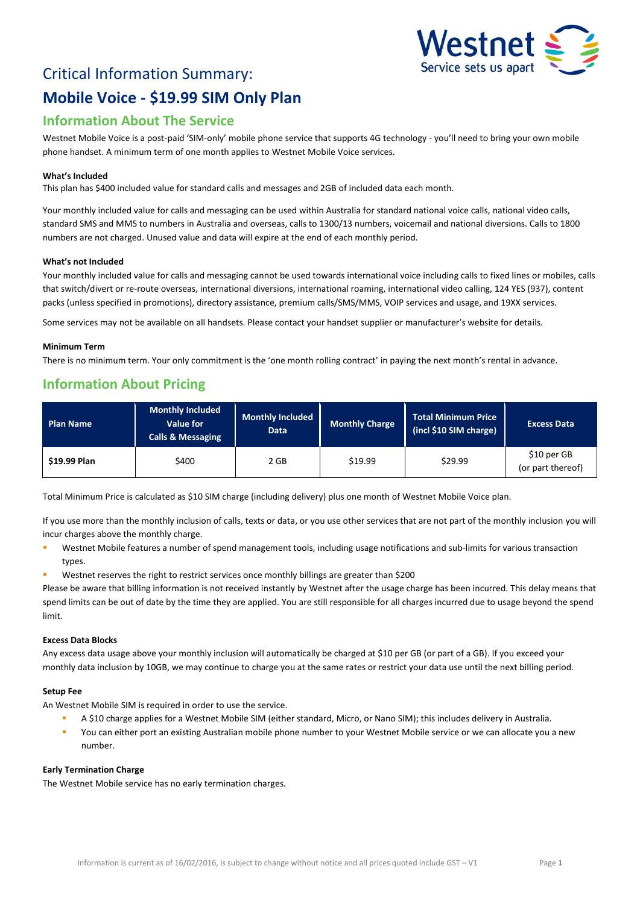# Critical Information Summary: **Mobile Voice - \$19.99 SIM Only Plan**



# **Information About The Service**

Westnet Mobile Voice is a post-paid 'SIM-only' mobile phone service that supports 4G technology - you'll need to bring your own mobile phone handset. A minimum term of one month applies to Westnet Mobile Voice services.

# **What's Included**

This plan has \$400 included value for standard calls and messages and 2GB of included data each month.

Your monthly included value for calls and messaging can be used within Australia for standard national voice calls, national video calls, standard SMS and MMS to numbers in Australia and overseas, calls to 1300/13 numbers, voicemail and national diversions. Calls to 1800 numbers are not charged. Unused value and data will expire at the end of each monthly period.

#### **What's not Included**

Your monthly included value for calls and messaging cannot be used towards international voice including calls to fixed lines or mobiles, calls that switch/divert or re-route overseas, international diversions, international roaming, international video calling, 124 YES (937), content packs (unless specified in promotions), directory assistance, premium calls/SMS/MMS, VOIP services and usage, and 19XX services.

Some services may not be available on all handsets. Please contact your handset supplier or manufacturer's website for details.

## **Minimum Term**

There is no minimum term. Your only commitment is the 'one month rolling contract' in paying the next month's rental in advance.

# **Information About Pricing**

| <b>Plan Name</b> | <b>Monthly Included</b><br><b>Value for</b><br><b>Calls &amp; Messaging</b> | <b>Monthly Included</b><br>Data | Monthly Charge | Total Minimum Price<br>(incl \$10 SIM charge) | <b>Excess Data</b>               |
|------------------|-----------------------------------------------------------------------------|---------------------------------|----------------|-----------------------------------------------|----------------------------------|
| \$19.99 Plan     | \$400                                                                       | 2 GB                            | \$19.99        | \$29.99                                       | \$10 per GB<br>(or part thereof) |

Total Minimum Price is calculated as \$10 SIM charge (including delivery) plus one month of Westnet Mobile Voice plan.

If you use more than the monthly inclusion of calls, texts or data, or you use other services that are not part of the monthly inclusion you will incur charges above the monthly charge.

- Westnet Mobile features a number of spend management tools, including usage notifications and sub-limits for various transaction types.
- Westnet reserves the right to restrict services once monthly billings are greater than \$200

Please be aware that billing information is not received instantly by Westnet after the usage charge has been incurred. This delay means that spend limits can be out of date by the time they are applied. You are still responsible for all charges incurred due to usage beyond the spend limit.

# **Excess Data Blocks**

Any excess data usage above your monthly inclusion will automatically be charged at \$10 per GB (or part of a GB). If you exceed your monthly data inclusion by 10GB, we may continue to charge you at the same rates or restrict your data use until the next billing period.

# **Setup Fee**

An Westnet Mobile SIM is required in order to use the service.

- A \$10 charge applies for a Westnet Mobile SIM (either standard, Micro, or Nano SIM); this includes delivery in Australia.
- You can either port an existing Australian mobile phone number to your Westnet Mobile service or we can allocate you a new number.

#### **Early Termination Charge**

The Westnet Mobile service has no early termination charges.